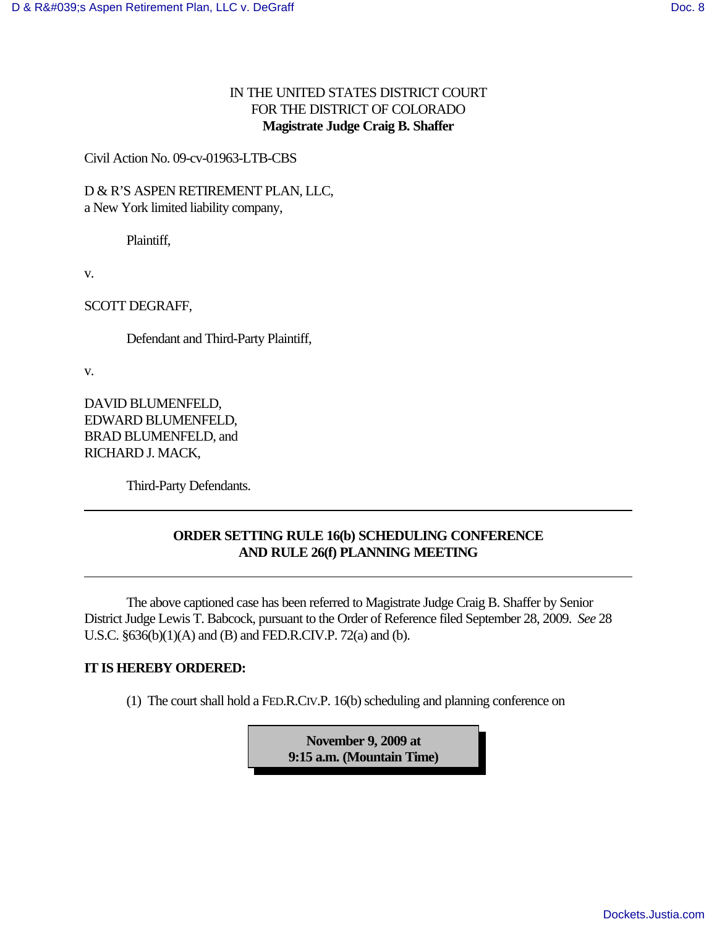## IN THE UNITED STATES DISTRICT COURT FOR THE DISTRICT OF COLORADO **Magistrate Judge Craig B. Shaffer**

Civil Action No. 09-cv-01963-LTB-CBS

D & R'S ASPEN RETIREMENT PLAN, LLC, a New York limited liability company,

Plaintiff,

v.

SCOTT DEGRAFF,

Defendant and Third-Party Plaintiff,

v.

DAVID BLUMENFELD, EDWARD BLUMENFELD, BRAD BLUMENFELD, and RICHARD J. MACK,

Third-Party Defendants.

## **ORDER SETTING RULE 16(b) SCHEDULING CONFERENCE AND RULE 26(f) PLANNING MEETING**

The above captioned case has been referred to Magistrate Judge Craig B. Shaffer by Senior District Judge Lewis T. Babcock, pursuant to the Order of Reference filed September 28, 2009. *See* 28 U.S.C. §636(b)(1)(A) and (B) and FED.R.CIV.P. 72(a) and (b).

## **IT IS HEREBY ORDERED:**

(1) The court shall hold a FED.R.CIV.P. 16(b) scheduling and planning conference on

**November 9, 2009 at 9:15 a.m. (Mountain Time)**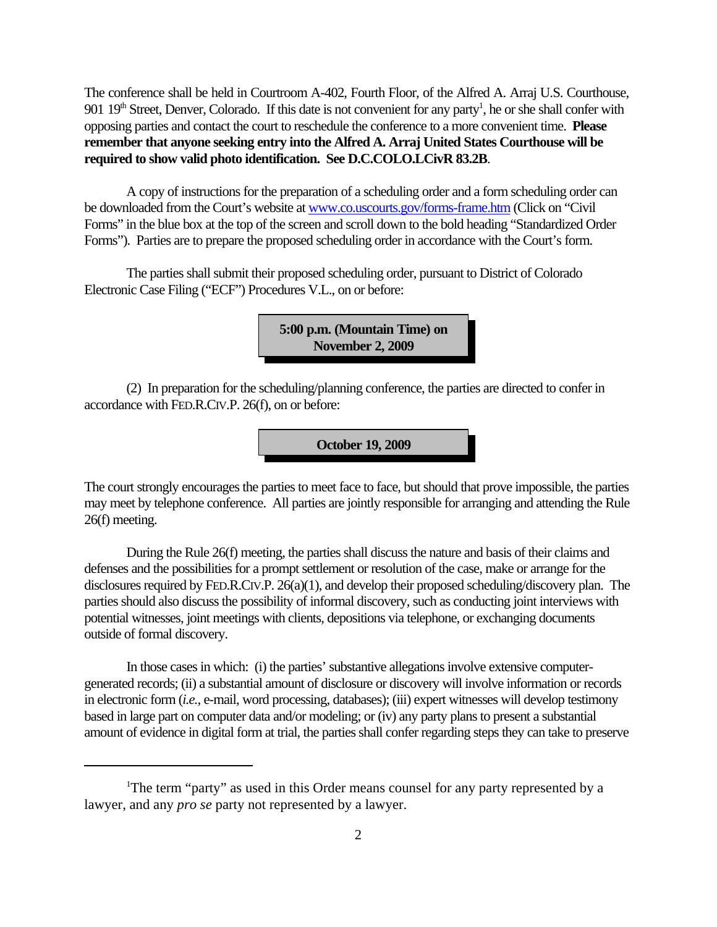The conference shall be held in Courtroom A-402, Fourth Floor, of the Alfred A. Arraj U.S. Courthouse, 901 19<sup>th</sup> Street, Denver, Colorado. If this date is not convenient for any party<sup>1</sup>, he or she shall confer with opposing parties and contact the court to reschedule the conference to a more convenient time. **Please remember that anyone seeking entry into the Alfred A. Arraj United States Courthouse will be required to show valid photo identification. See D.C.COLO.LCivR 83.2B**.

A copy of instructions for the preparation of a scheduling order and a form scheduling order can be downloaded from the Court's website at www.co.uscourts.gov/forms-frame.htm (Click on "Civil Forms" in the blue box at the top of the screen and scroll down to the bold heading "Standardized Order Forms"). Parties are to prepare the proposed scheduling order in accordance with the Court's form.

The parties shall submit their proposed scheduling order, pursuant to District of Colorado Electronic Case Filing ("ECF") Procedures V.L., on or before:

> **5:00 p.m. (Mountain Time) on November 2, 2009**

(2) In preparation for the scheduling/planning conference, the parties are directed to confer in accordance with FED.R.CIV.P. 26(f), on or before:

**October 19, 2009**

The court strongly encourages the parties to meet face to face, but should that prove impossible, the parties may meet by telephone conference. All parties are jointly responsible for arranging and attending the Rule 26(f) meeting.

During the Rule 26(f) meeting, the parties shall discuss the nature and basis of their claims and defenses and the possibilities for a prompt settlement or resolution of the case, make or arrange for the disclosures required by FED.R.CIV.P. 26(a)(1), and develop their proposed scheduling/discovery plan. The parties should also discuss the possibility of informal discovery, such as conducting joint interviews with potential witnesses, joint meetings with clients, depositions via telephone, or exchanging documents outside of formal discovery.

In those cases in which: (i) the parties' substantive allegations involve extensive computergenerated records; (ii) a substantial amount of disclosure or discovery will involve information or records in electronic form (*i.e.,* e-mail, word processing, databases); (iii) expert witnesses will develop testimony based in large part on computer data and/or modeling; or (iv) any party plans to present a substantial amount of evidence in digital form at trial, the parties shall confer regarding steps they can take to preserve

<sup>&</sup>lt;sup>1</sup>The term "party" as used in this Order means counsel for any party represented by a lawyer, and any *pro se* party not represented by a lawyer.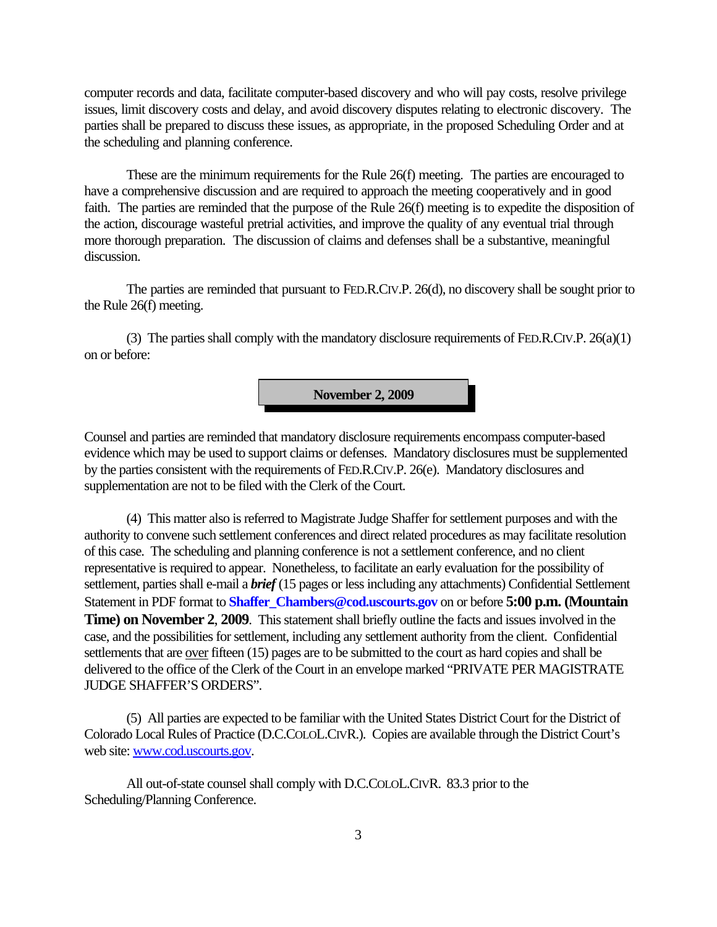computer records and data, facilitate computer-based discovery and who will pay costs, resolve privilege issues, limit discovery costs and delay, and avoid discovery disputes relating to electronic discovery. The parties shall be prepared to discuss these issues, as appropriate, in the proposed Scheduling Order and at the scheduling and planning conference.

These are the minimum requirements for the Rule 26(f) meeting. The parties are encouraged to have a comprehensive discussion and are required to approach the meeting cooperatively and in good faith. The parties are reminded that the purpose of the Rule 26(f) meeting is to expedite the disposition of the action, discourage wasteful pretrial activities, and improve the quality of any eventual trial through more thorough preparation. The discussion of claims and defenses shall be a substantive, meaningful discussion.

The parties are reminded that pursuant to FED.R.CIV.P. 26(d), no discovery shall be sought prior to the Rule 26(f) meeting.

(3) The parties shall comply with the mandatory disclosure requirements of FED.R.CIV.P. 26(a)(1) on or before:

**November 2, 2009**

Counsel and parties are reminded that mandatory disclosure requirements encompass computer-based evidence which may be used to support claims or defenses. Mandatory disclosures must be supplemented by the parties consistent with the requirements of FED.R.CIV.P. 26(e). Mandatory disclosures and supplementation are not to be filed with the Clerk of the Court.

(4) This matter also is referred to Magistrate Judge Shaffer for settlement purposes and with the authority to convene such settlement conferences and direct related procedures as may facilitate resolution of this case. The scheduling and planning conference is not a settlement conference, and no client representative is required to appear. Nonetheless, to facilitate an early evaluation for the possibility of settlement, parties shall e-mail a *brief* (15 pages or less including any attachments) Confidential Settlement Statement in PDF format to **Shaffer** Chambers@cod.uscourts.gov on or before **5:00 p.m. (Mountain Time) on November 2**, **2009**. This statement shall briefly outline the facts and issues involved in the case, and the possibilities for settlement, including any settlement authority from the client. Confidential settlements that are over fifteen (15) pages are to be submitted to the court as hard copies and shall be delivered to the office of the Clerk of the Court in an envelope marked "PRIVATE PER MAGISTRATE JUDGE SHAFFER'S ORDERS".

(5) All parties are expected to be familiar with the United States District Court for the District of Colorado Local Rules of Practice (D.C.COLOL.CIVR.). Copies are available through the District Court's web site: www.cod.uscourts.gov.

All out-of-state counsel shall comply with D.C.COLOL.CIVR. 83.3 prior to the Scheduling/Planning Conference.